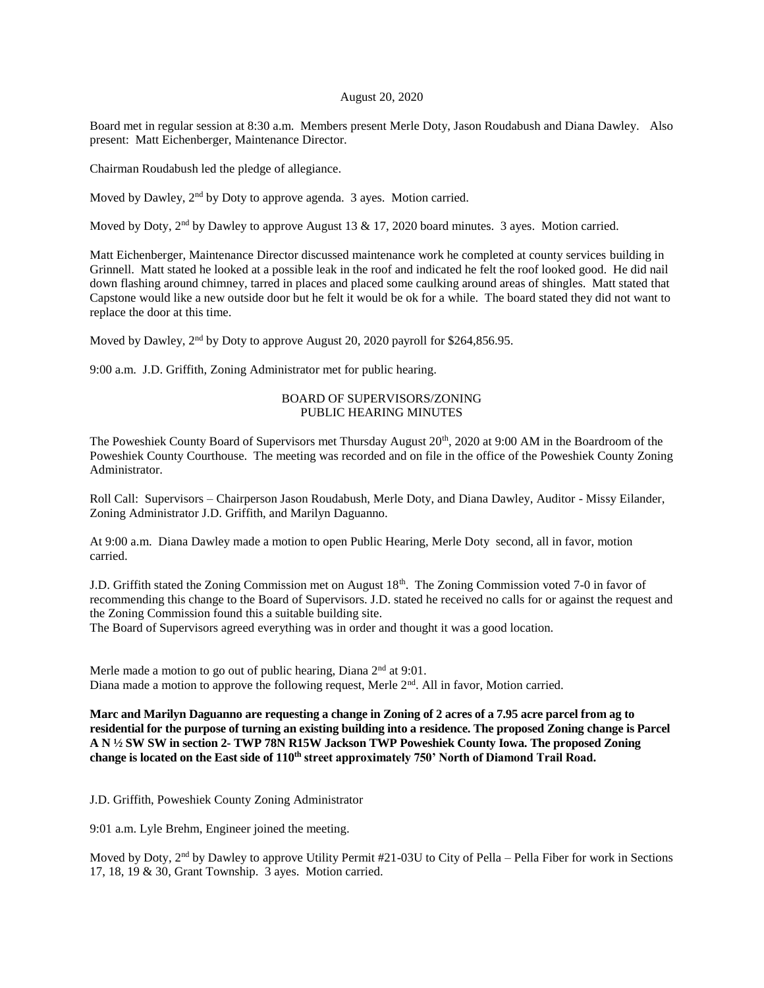## August 20, 2020

Board met in regular session at 8:30 a.m. Members present Merle Doty, Jason Roudabush and Diana Dawley. Also present: Matt Eichenberger, Maintenance Director.

Chairman Roudabush led the pledge of allegiance.

Moved by Dawley, 2<sup>nd</sup> by Doty to approve agenda. 3 ayes. Motion carried.

Moved by Doty,  $2<sup>nd</sup>$  by Dawley to approve August 13 & 17, 2020 board minutes. 3 ayes. Motion carried.

Matt Eichenberger, Maintenance Director discussed maintenance work he completed at county services building in Grinnell. Matt stated he looked at a possible leak in the roof and indicated he felt the roof looked good. He did nail down flashing around chimney, tarred in places and placed some caulking around areas of shingles. Matt stated that Capstone would like a new outside door but he felt it would be ok for a while. The board stated they did not want to replace the door at this time.

Moved by Dawley, 2<sup>nd</sup> by Doty to approve August 20, 2020 payroll for \$264,856.95.

9:00 a.m. J.D. Griffith, Zoning Administrator met for public hearing.

## BOARD OF SUPERVISORS/ZONING PUBLIC HEARING MINUTES

The Poweshiek County Board of Supervisors met Thursday August  $20<sup>th</sup>$ , 2020 at 9:00 AM in the Boardroom of the Poweshiek County Courthouse. The meeting was recorded and on file in the office of the Poweshiek County Zoning Administrator.

Roll Call: Supervisors – Chairperson Jason Roudabush, Merle Doty, and Diana Dawley, Auditor - Missy Eilander, Zoning Administrator J.D. Griffith, and Marilyn Daguanno.

At 9:00 a.m. Diana Dawley made a motion to open Public Hearing, Merle Doty second, all in favor, motion carried.

J.D. Griffith stated the Zoning Commission met on August 18<sup>th</sup>. The Zoning Commission voted 7-0 in favor of recommending this change to the Board of Supervisors. J.D. stated he received no calls for or against the request and the Zoning Commission found this a suitable building site.

The Board of Supervisors agreed everything was in order and thought it was a good location.

Merle made a motion to go out of public hearing, Diana  $2<sup>nd</sup>$  at 9:01. Diana made a motion to approve the following request, Merle  $2<sup>nd</sup>$ . All in favor, Motion carried.

**Marc and Marilyn Daguanno are requesting a change in Zoning of 2 acres of a 7.95 acre parcel from ag to residential for the purpose of turning an existing building into a residence. The proposed Zoning change is Parcel A N ½ SW SW in section 2- TWP 78N R15W Jackson TWP Poweshiek County Iowa. The proposed Zoning change is located on the East side of 110th street approximately 750' North of Diamond Trail Road.**

J.D. Griffith, Poweshiek County Zoning Administrator

9:01 a.m. Lyle Brehm, Engineer joined the meeting.

Moved by Doty, 2<sup>nd</sup> by Dawley to approve Utility Permit #21-03U to City of Pella – Pella Fiber for work in Sections 17, 18, 19 & 30, Grant Township. 3 ayes. Motion carried.